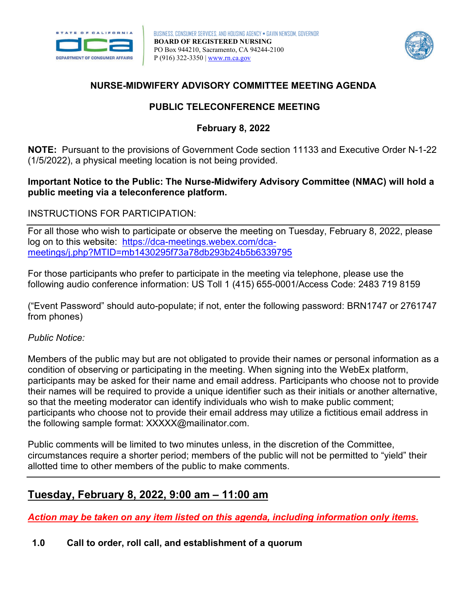



## **NURSE-MIDWIFERY ADVISORY COMMITTEE MEETING AGENDA**

## **PUBLIC TELECONFERENCE MEETING**

# **February 8, 2022**

**NOTE:** Pursuant to the provisions of Government Code section 11133 and Executive Order N-1-22 (1/5/2022), a physical meeting location is not being provided.

### **public meeting via a teleconference platform. Important Notice to the Public: The Nurse-Midwifery Advisory Committee (NMAC) will hold a**

### INSTRUCTIONS FOR PARTICIPATION:

 For all those who wish to participate or observe the meeting on Tuesday, February 8, 2022, please log on to this website: [https://dca-meetings.webex.com/dca](https://dca-meetings.webex.com/dca-meetings/j.php?MTID=mb1430295f73a78db293b24b5b6339795)[meetings/j.php?MTID=mb1430295f73a78db293b24b5b6339795](https://dca-meetings.webex.com/dca-meetings/j.php?MTID=mb1430295f73a78db293b24b5b6339795) 

For those participants who prefer to participate in the meeting via telephone, please use the following audio conference information: US Toll 1 (415) 655-0001/Access Code: 2483 719 8159

("Event Password" should auto-populate; if not, enter the following password: BRN1747 or 2761747 from phones)

#### *Public Notice:*

 Members of the public may but are not obligated to provide their names or personal information as a condition of observing or participating in the meeting. When signing into the WebEx platform, participants may be asked for their name and email address. Participants who choose not to provide their names will be required to provide a unique identifier such as their initials or another alternative, so that the meeting moderator can identify individuals who wish to make public comment; participants who choose not to provide their email address may utilize a fictitious email address in the following sample format: [XXXXX@mailinator.com.](mailto:XXXXX@mailinator.com)

Public comments will be limited to two minutes unless, in the discretion of the Committee, circumstances require a shorter period; members of the public will not be permitted to "yield" their allotted time to other members of the public to make comments.

# **Tuesday, February 8, 2022, 9:00 am – 11:00 am**

*Action may be taken on any item listed on this agenda, including information only items.* 

 **1.0 Call to order, roll call, and establishment of a quorum**